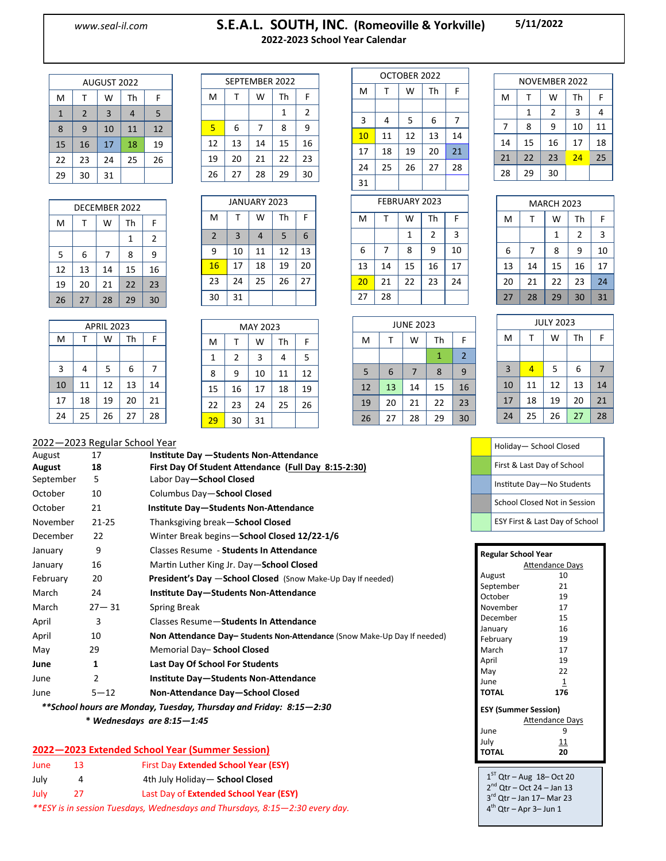### *www.seal-il.com* **S.E.A.L. SOUTH, INC. (Romeoville & Yorkville) 2022-2023 School Year Calendar**

**5/11/2022**

| AUGUST 2022  |                |    |    |    |  |
|--------------|----------------|----|----|----|--|
| M            | т              | W  | Th | F  |  |
| $\mathbf{1}$ | $\overline{2}$ | 3  | 4  | 5  |  |
| 8            | 9              | 10 | 11 | 12 |  |
| 15           | 16             | 17 | 18 | 19 |  |
| 22           | 23             | 24 | 25 | 26 |  |
| 29           | 30             | 31 |    |    |  |

| DECEMBER 2022 |    |    |    |    |
|---------------|----|----|----|----|
| M             | т  | W  | Th | F  |
|               |    |    | 1  | 2  |
| 5             | 6  | 7  | 8  | 9  |
| 12            | 13 | 14 | 15 | 16 |
| 19            | 20 | 21 | 22 | 23 |
| 26            | 27 | 28 | 29 | 30 |

| <b>APRIL 2023</b> |    |    |    |    |
|-------------------|----|----|----|----|
| M                 |    | W  | Th | F  |
|                   |    |    |    |    |
| 3                 | 4  | 5  | 6  | 7  |
| 10                | 11 | 12 | 13 | 14 |
| 17                | 18 | 19 | 20 | 21 |
| 24                | 25 | 26 | 27 | 28 |

|    | SEPTEMBER 2022 |    |    |    |
|----|----------------|----|----|----|
| M  | т              | W  | Th | F  |
|    |                |    | 1  | 2  |
| 5  | 6              | 7  | 8  | 9  |
| 12 | 13             | 14 | 15 | 16 |
| 19 | 20             | 21 | 22 | 23 |
| 26 | 27             | 28 | 29 | 30 |

| <b>JANUARY 2023</b> |                |    |    |    |
|---------------------|----------------|----|----|----|
| M                   | т              | W  | Th | F  |
| $\overline{2}$      | $\overline{3}$ | 4  | 5  | 6  |
| 9                   | 10             | 11 | 12 | 13 |
| 16                  | 17             | 18 | 19 | 20 |
| 23                  | 24             | 25 | 26 | 27 |
| 30                  | 31             |    |    |    |

|    |    | MAY 2023 |    |    |
|----|----|----------|----|----|
| M  | т  | W        | Th | F  |
| 1  | 2  | 3        | 4  | 5  |
| 8  | 9  | 10       | 11 | 12 |
| 15 | 16 | 17       | 18 | 19 |
| 22 | 23 | 24       | 25 | 26 |
| 29 | 30 | 31       |    |    |

| OCTOBER 2022  |    |    |    |    |
|---------------|----|----|----|----|
| M             | т  | W  | Th | F  |
|               |    |    |    |    |
| 3             | 4  | 5  | 6  | 7  |
| 10            | 11 | 12 | 13 | 14 |
| 17            | 18 | 19 | 20 | 21 |
| 24            | 25 | 26 | 27 | 28 |
| 31            |    |    |    |    |
| FEBRUARY 2023 |    |    |    |    |

| NOVEMBER 2022 |    |    |    |    |  |
|---------------|----|----|----|----|--|
| M             | т  | w  | Th | F  |  |
|               | 1  | 2  | 3  | 4  |  |
| 7             | 8  | ٩  | 10 | 11 |  |
| 14            | 15 | 16 | 17 | 18 |  |
| 21            | 22 | 23 | 24 | 25 |  |
| 28            | 29 | 30 |    |    |  |

MARCH 2023

|    | <b>FEBRUARY 2023</b> |    |                |    |  |  |
|----|----------------------|----|----------------|----|--|--|
| M  | т                    | W  | Th             | F  |  |  |
|    |                      | 1  | $\overline{2}$ | 3  |  |  |
| 6  | 7                    | 8  | 9              | 10 |  |  |
| 13 | 14                   | 15 | 16             | 17 |  |  |
| 20 | 21                   | 22 | 23             | 24 |  |  |
| 27 | 28                   |    |                |    |  |  |

| <b>JUNE 2023</b> |    |    |    |                |
|------------------|----|----|----|----------------|
| M                | т  | W  | Th | F              |
|                  |    |    | 1  | $\overline{2}$ |
| 5                | 6  | 7  | 8  | 9              |
| 12               | 13 | 14 | 15 | 16             |
| 19               | 20 | 21 | 22 | 23             |
| 26               | 27 | 28 | 29 | 30             |

| M                | Т  | W  | Th | F  |  |  |
|------------------|----|----|----|----|--|--|
|                  |    | 1  | 2  | 3  |  |  |
| 6                | 7  | 8  | 9  | 10 |  |  |
| 13               | 14 | 15 | 16 | 17 |  |  |
| 20               | 21 | 22 | 23 | 24 |  |  |
| 27               | 28 | 29 | 30 | 31 |  |  |
|                  |    |    |    |    |  |  |
| <b>JULY 2023</b> |    |    |    |    |  |  |

| <b>JULY 2023</b> |    |    |    |    |  |
|------------------|----|----|----|----|--|
| M                | т  | W  | Th | F  |  |
|                  |    |    |    |    |  |
| $\overline{3}$   | 4  | 5  | 6  | 7  |  |
| 10               | 11 | 12 | 13 | 14 |  |
| 17               | 18 | 19 | 20 | 21 |  |
| 24               | 25 | 26 | 27 | 28 |  |

| Holiday-School Closed          |
|--------------------------------|
| First & Last Day of School     |
| Institute Day-No Students      |
| School Closed Not in Session   |
| ESY First & Last Day of School |

| Regular School Year                                            |            |  |  |  |  |
|----------------------------------------------------------------|------------|--|--|--|--|
| <b>Attendance Days</b>                                         |            |  |  |  |  |
| August                                                         | 10         |  |  |  |  |
| September                                                      | 21         |  |  |  |  |
| October                                                        | 19         |  |  |  |  |
| November                                                       | 17         |  |  |  |  |
| December                                                       | 15         |  |  |  |  |
| January                                                        | 16         |  |  |  |  |
| February                                                       | 19         |  |  |  |  |
| March                                                          | 17         |  |  |  |  |
| April                                                          | 19         |  |  |  |  |
| May                                                            | 22         |  |  |  |  |
| June                                                           | 1          |  |  |  |  |
| <b>TOTAL</b>                                                   | 176        |  |  |  |  |
| <b>ESY (Summer Session)</b>                                    |            |  |  |  |  |
| <b>Attendance Days</b>                                         |            |  |  |  |  |
| June                                                           | 9          |  |  |  |  |
| July                                                           | <u> 11</u> |  |  |  |  |
| <b>TOTAL</b>                                                   | 20         |  |  |  |  |
|                                                                |            |  |  |  |  |
| 1 <sup>ST</sup> $\cap$ + <sub>r</sub><br>$10, 10, 0$ $(10, 2)$ |            |  |  |  |  |

1  $\int$  Qtr – Aug 18– Oct 20 2<sup>nd</sup> Qtr – Oct 24 – Jan 13 3 rd Qtr – Jan 17– Mar 23 4<sup>th</sup> Qtr – Apr 3– Jun 1

#### 2022—2023 Regular School Year

| August    | 17             | Institute Day - Students Non-Attendance                                 |
|-----------|----------------|-------------------------------------------------------------------------|
| August    | 18             | First Day Of Student Attendance (Full Day 8:15-2:30)                    |
| September | 5              | Labor Day-School Closed                                                 |
| October   | 10             | Columbus Day-School Closed                                              |
| October   | 21             | Institute Day-Students Non-Attendance                                   |
| November  | 21-25          | Thanksgiving break-School Closed                                        |
| December  | 22             | Winter Break begins-School Closed 12/22-1/6                             |
| January   | 9              | Classes Resume - Students In Attendance                                 |
| January   | 16             | Martin Luther King Jr. Day-School Closed                                |
| February  | 20             | <b>President's Day -School Closed</b> (Snow Make-Up Day If needed)      |
| March     | 24             | Institute Day-Students Non-Attendance                                   |
| March     | $27 - 31$      | Spring Break                                                            |
| April     | 3              | Classes Resume-Students In Attendance                                   |
| April     | 10             | Non Attendance Day-Students Non-Attendance (Snow Make-Up Day If needed) |
| May       | 29             | Memorial Day- School Closed                                             |
| June      | 1              | Last Day Of School For Students                                         |
| June      | $\overline{2}$ | Institute Day-Students Non-Attendance                                   |
| June      | $5 - 12$       | Non-Attendance Day-School Closed                                        |

 *\*\*School hours are Monday, Tuesday, Thursday and Friday: 8:15—2:30*

 **\*** *Wednesdays are 8:15—1:45*

#### **2022—2023 Extended School Year (Summer Session)**

| June                                                                         | 13. | First Day Extended School Year (ESY)   |  |  |  |
|------------------------------------------------------------------------------|-----|----------------------------------------|--|--|--|
| July                                                                         | Δ   | 4th July Holiday - School Closed       |  |  |  |
| July                                                                         | 27  | Last Day of Extended School Year (ESY) |  |  |  |
| **ESY is in session Tuesdays, Wednesdays and Thursdays, 8:15–2:30 every day. |     |                                        |  |  |  |